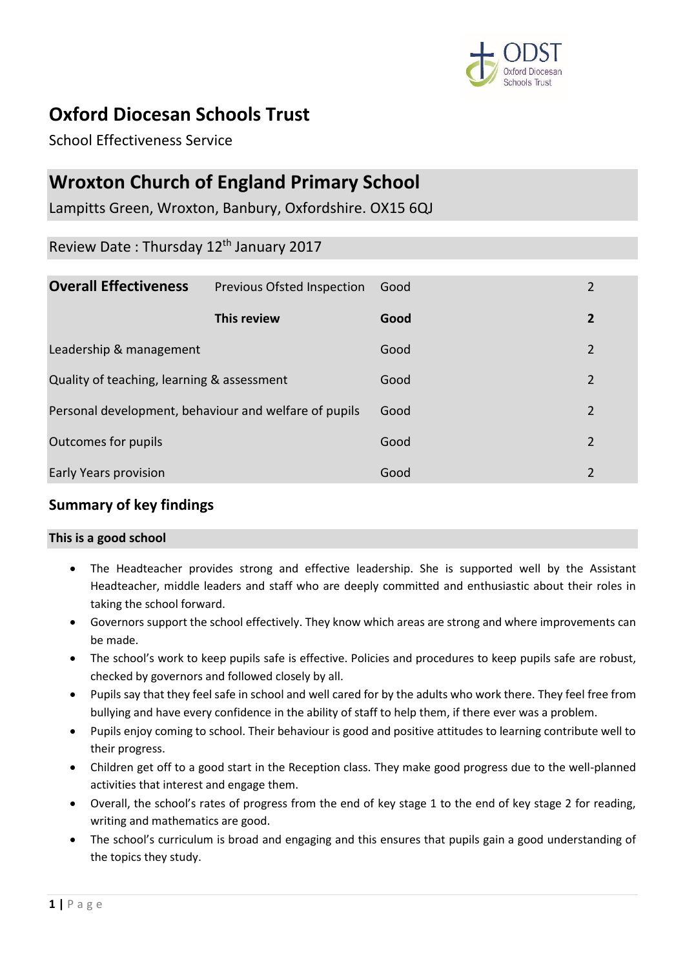

# **Oxford Diocesan Schools Trust**

School Effectiveness Service

# **Wroxton Church of England Primary School**

Lampitts Green, Wroxton, Banbury, Oxfordshire. OX15 6QJ

# Review Date : Thursday 12th January 2017

| <b>Overall Effectiveness</b>                          | <b>Previous Ofsted Inspection</b> | Good | 2 |
|-------------------------------------------------------|-----------------------------------|------|---|
|                                                       | This review                       | Good | 2 |
| Leadership & management                               |                                   | Good | 2 |
| Quality of teaching, learning & assessment            |                                   | Good | 2 |
| Personal development, behaviour and welfare of pupils |                                   | Good | 2 |
| Outcomes for pupils                                   |                                   | Good | 2 |
| Early Years provision                                 |                                   | Good | 2 |

# **Summary of key findings**

## **This is a good school**

- The Headteacher provides strong and effective leadership. She is supported well by the Assistant Headteacher, middle leaders and staff who are deeply committed and enthusiastic about their roles in taking the school forward.
- Governors support the school effectively. They know which areas are strong and where improvements can be made.
- The school's work to keep pupils safe is effective. Policies and procedures to keep pupils safe are robust, checked by governors and followed closely by all.
- Pupils say that they feel safe in school and well cared for by the adults who work there. They feel free from bullying and have every confidence in the ability of staff to help them, if there ever was a problem.
- Pupils enjoy coming to school. Their behaviour is good and positive attitudes to learning contribute well to their progress.
- Children get off to a good start in the Reception class. They make good progress due to the well-planned activities that interest and engage them.
- Overall, the school's rates of progress from the end of key stage 1 to the end of key stage 2 for reading, writing and mathematics are good.
- The school's curriculum is broad and engaging and this ensures that pupils gain a good understanding of the topics they study.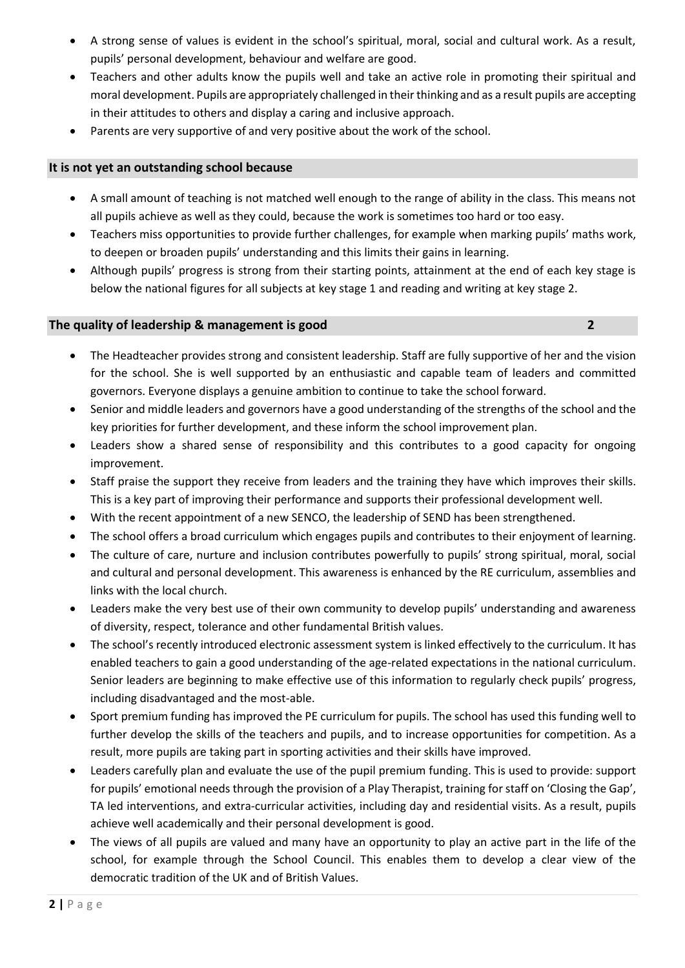- A strong sense of values is evident in the school's spiritual, moral, social and cultural work. As a result, pupils' personal development, behaviour and welfare are good.
- Teachers and other adults know the pupils well and take an active role in promoting their spiritual and moral development. Pupils are appropriately challenged in their thinking and as a result pupils are accepting in their attitudes to others and display a caring and inclusive approach.
- Parents are very supportive of and very positive about the work of the school.

#### **It is not yet an outstanding school because**

- A small amount of teaching is not matched well enough to the range of ability in the class. This means not all pupils achieve as well as they could, because the work is sometimes too hard or too easy.
- Teachers miss opportunities to provide further challenges, for example when marking pupils' maths work, to deepen or broaden pupils' understanding and this limits their gains in learning.
- Although pupils' progress is strong from their starting points, attainment at the end of each key stage is below the national figures for all subjects at key stage 1 and reading and writing at key stage 2.

#### **The quality of leadership & management is good 2**

- The Headteacher provides strong and consistent leadership. Staff are fully supportive of her and the vision for the school. She is well supported by an enthusiastic and capable team of leaders and committed governors. Everyone displays a genuine ambition to continue to take the school forward.
- Senior and middle leaders and governors have a good understanding of the strengths of the school and the key priorities for further development, and these inform the school improvement plan.
- Leaders show a shared sense of responsibility and this contributes to a good capacity for ongoing improvement.
- Staff praise the support they receive from leaders and the training they have which improves their skills. This is a key part of improving their performance and supports their professional development well.
- With the recent appointment of a new SENCO, the leadership of SEND has been strengthened.
- The school offers a broad curriculum which engages pupils and contributes to their enjoyment of learning.
- The culture of care, nurture and inclusion contributes powerfully to pupils' strong spiritual, moral, social and cultural and personal development. This awareness is enhanced by the RE curriculum, assemblies and links with the local church.
- Leaders make the very best use of their own community to develop pupils' understanding and awareness of diversity, respect, tolerance and other fundamental British values.
- The school's recently introduced electronic assessment system is linked effectively to the curriculum. It has enabled teachers to gain a good understanding of the age-related expectations in the national curriculum. Senior leaders are beginning to make effective use of this information to regularly check pupils' progress, including disadvantaged and the most-able.
- Sport premium funding has improved the PE curriculum for pupils. The school has used this funding well to further develop the skills of the teachers and pupils, and to increase opportunities for competition. As a result, more pupils are taking part in sporting activities and their skills have improved.
- Leaders carefully plan and evaluate the use of the pupil premium funding. This is used to provide: support for pupils' emotional needs through the provision of a Play Therapist, training for staff on 'Closing the Gap', TA led interventions, and extra-curricular activities, including day and residential visits. As a result, pupils achieve well academically and their personal development is good.
- The views of all pupils are valued and many have an opportunity to play an active part in the life of the school, for example through the School Council. This enables them to develop a clear view of the democratic tradition of the UK and of British Values.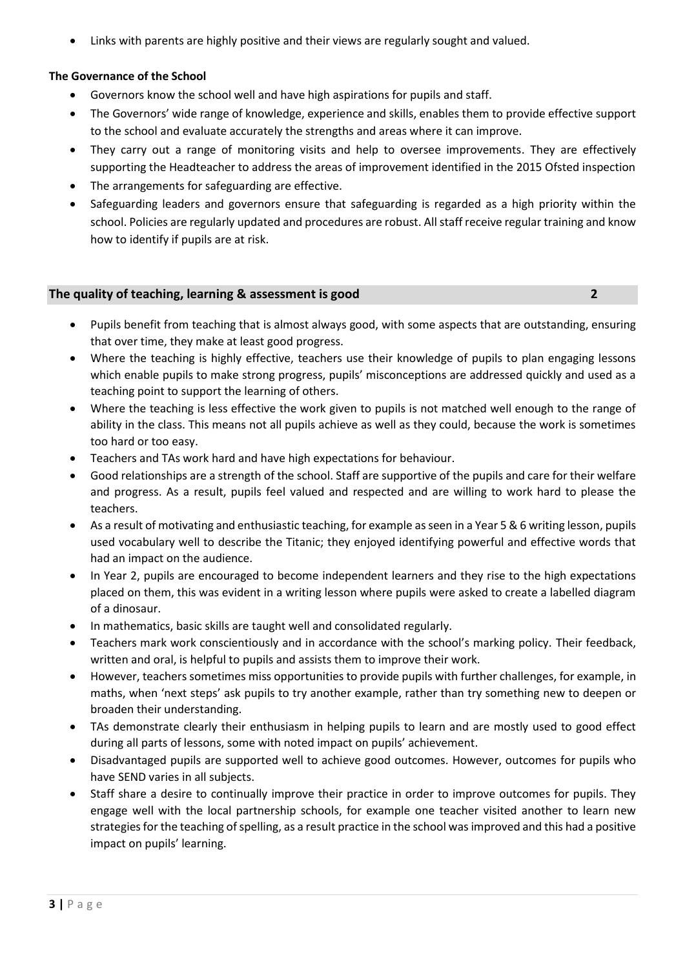Links with parents are highly positive and their views are regularly sought and valued.

## **The Governance of the School**

- Governors know the school well and have high aspirations for pupils and staff.
- The Governors' wide range of knowledge, experience and skills, enables them to provide effective support to the school and evaluate accurately the strengths and areas where it can improve.
- They carry out a range of monitoring visits and help to oversee improvements. They are effectively supporting the Headteacher to address the areas of improvement identified in the 2015 Ofsted inspection
- The arrangements for safeguarding are effective.
- Safeguarding leaders and governors ensure that safeguarding is regarded as a high priority within the school. Policies are regularly updated and procedures are robust. All staff receive regular training and know how to identify if pupils are at risk.

## **The quality of teaching, learning & assessment is good 2**

- Pupils benefit from teaching that is almost always good, with some aspects that are outstanding, ensuring that over time, they make at least good progress.
- Where the teaching is highly effective, teachers use their knowledge of pupils to plan engaging lessons which enable pupils to make strong progress, pupils' misconceptions are addressed quickly and used as a teaching point to support the learning of others.
- Where the teaching is less effective the work given to pupils is not matched well enough to the range of ability in the class. This means not all pupils achieve as well as they could, because the work is sometimes too hard or too easy.
- Teachers and TAs work hard and have high expectations for behaviour.
- Good relationships are a strength of the school. Staff are supportive of the pupils and care for their welfare and progress. As a result, pupils feel valued and respected and are willing to work hard to please the teachers.
- As a result of motivating and enthusiastic teaching, for example as seen in a Year 5 & 6 writing lesson, pupils used vocabulary well to describe the Titanic; they enjoyed identifying powerful and effective words that had an impact on the audience.
- In Year 2, pupils are encouraged to become independent learners and they rise to the high expectations placed on them, this was evident in a writing lesson where pupils were asked to create a labelled diagram of a dinosaur.
- In mathematics, basic skills are taught well and consolidated regularly.
- Teachers mark work conscientiously and in accordance with the school's marking policy. Their feedback, written and oral, is helpful to pupils and assists them to improve their work.
- However, teachers sometimes miss opportunities to provide pupils with further challenges, for example, in maths, when 'next steps' ask pupils to try another example, rather than try something new to deepen or broaden their understanding.
- TAs demonstrate clearly their enthusiasm in helping pupils to learn and are mostly used to good effect during all parts of lessons, some with noted impact on pupils' achievement.
- Disadvantaged pupils are supported well to achieve good outcomes. However, outcomes for pupils who have SEND varies in all subjects.
- Staff share a desire to continually improve their practice in order to improve outcomes for pupils. They engage well with the local partnership schools, for example one teacher visited another to learn new strategies for the teaching of spelling, as a result practice in the school was improved and this had a positive impact on pupils' learning.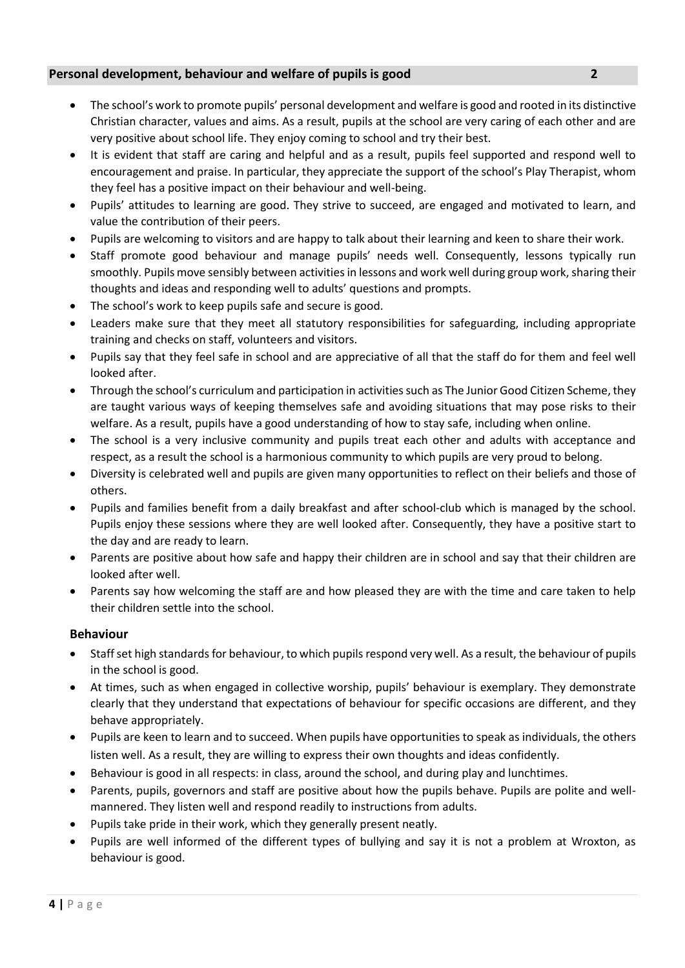# **Personal development, behaviour and welfare of pupils is good 2**

- The school's work to promote pupils' personal development and welfare is good and rooted in its distinctive Christian character, values and aims. As a result, pupils at the school are very caring of each other and are very positive about school life. They enjoy coming to school and try their best.
- It is evident that staff are caring and helpful and as a result, pupils feel supported and respond well to encouragement and praise. In particular, they appreciate the support of the school's Play Therapist, whom they feel has a positive impact on their behaviour and well-being.
- Pupils' attitudes to learning are good. They strive to succeed, are engaged and motivated to learn, and value the contribution of their peers.
- Pupils are welcoming to visitors and are happy to talk about their learning and keen to share their work.
- Staff promote good behaviour and manage pupils' needs well. Consequently, lessons typically run smoothly. Pupils move sensibly between activities in lessons and work well during group work, sharing their thoughts and ideas and responding well to adults' questions and prompts.
- The school's work to keep pupils safe and secure is good.
- Leaders make sure that they meet all statutory responsibilities for safeguarding, including appropriate training and checks on staff, volunteers and visitors.
- Pupils say that they feel safe in school and are appreciative of all that the staff do for them and feel well looked after.
- Through the school's curriculum and participation in activities such as The Junior Good Citizen Scheme, they are taught various ways of keeping themselves safe and avoiding situations that may pose risks to their welfare. As a result, pupils have a good understanding of how to stay safe, including when online.
- The school is a very inclusive community and pupils treat each other and adults with acceptance and respect, as a result the school is a harmonious community to which pupils are very proud to belong.
- Diversity is celebrated well and pupils are given many opportunities to reflect on their beliefs and those of others.
- Pupils and families benefit from a daily breakfast and after school-club which is managed by the school. Pupils enjoy these sessions where they are well looked after. Consequently, they have a positive start to the day and are ready to learn.
- Parents are positive about how safe and happy their children are in school and say that their children are looked after well.
- Parents say how welcoming the staff are and how pleased they are with the time and care taken to help their children settle into the school.

## **Behaviour**

- Staff set high standards for behaviour, to which pupils respond very well. As a result, the behaviour of pupils in the school is good.
- At times, such as when engaged in collective worship, pupils' behaviour is exemplary. They demonstrate clearly that they understand that expectations of behaviour for specific occasions are different, and they behave appropriately.
- Pupils are keen to learn and to succeed. When pupils have opportunities to speak as individuals, the others listen well. As a result, they are willing to express their own thoughts and ideas confidently.
- Behaviour is good in all respects: in class, around the school, and during play and lunchtimes.
- Parents, pupils, governors and staff are positive about how the pupils behave. Pupils are polite and wellmannered. They listen well and respond readily to instructions from adults.
- Pupils take pride in their work, which they generally present neatly.
- Pupils are well informed of the different types of bullying and say it is not a problem at Wroxton, as behaviour is good.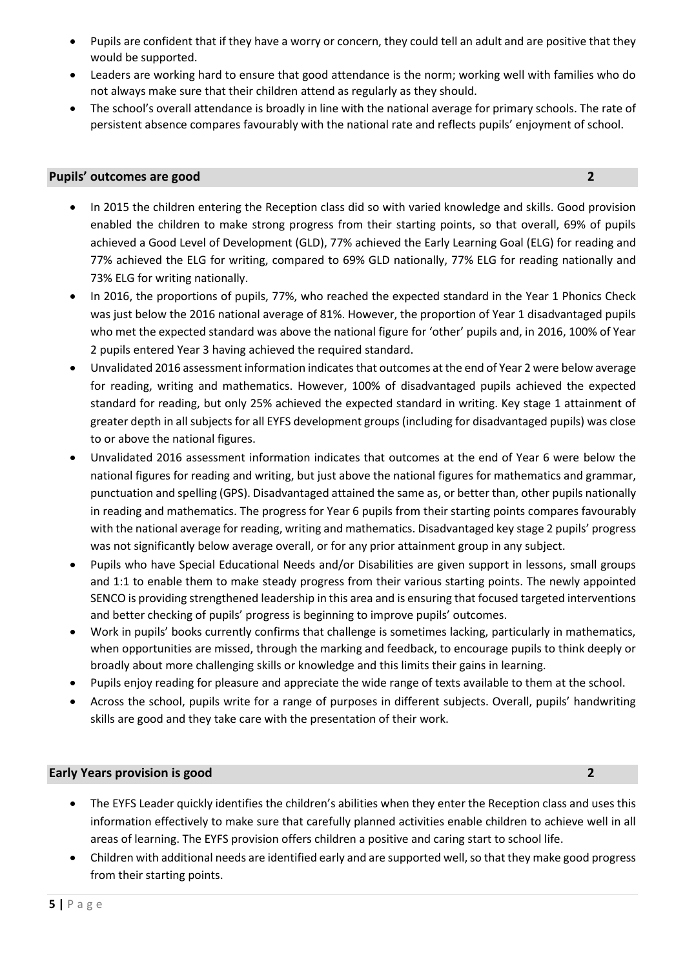- Pupils are confident that if they have a worry or concern, they could tell an adult and are positive that they would be supported.
- Leaders are working hard to ensure that good attendance is the norm; working well with families who do not always make sure that their children attend as regularly as they should.
- The school's overall attendance is broadly in line with the national average for primary schools. The rate of persistent absence compares favourably with the national rate and reflects pupils' enjoyment of school.

#### **Pupils' outcomes are good 2**

- In 2015 the children entering the Reception class did so with varied knowledge and skills. Good provision enabled the children to make strong progress from their starting points, so that overall, 69% of pupils achieved a Good Level of Development (GLD), 77% achieved the Early Learning Goal (ELG) for reading and 77% achieved the ELG for writing, compared to 69% GLD nationally, 77% ELG for reading nationally and 73% ELG for writing nationally.
- In 2016, the proportions of pupils, 77%, who reached the expected standard in the Year 1 Phonics Check was just below the 2016 national average of 81%. However, the proportion of Year 1 disadvantaged pupils who met the expected standard was above the national figure for 'other' pupils and, in 2016, 100% of Year 2 pupils entered Year 3 having achieved the required standard.
- Unvalidated 2016 assessment information indicates that outcomes at the end of Year 2 were below average for reading, writing and mathematics. However, 100% of disadvantaged pupils achieved the expected standard for reading, but only 25% achieved the expected standard in writing. Key stage 1 attainment of greater depth in all subjects for all EYFS development groups (including for disadvantaged pupils) was close to or above the national figures.
- Unvalidated 2016 assessment information indicates that outcomes at the end of Year 6 were below the national figures for reading and writing, but just above the national figures for mathematics and grammar, punctuation and spelling (GPS). Disadvantaged attained the same as, or better than, other pupils nationally in reading and mathematics. The progress for Year 6 pupils from their starting points compares favourably with the national average for reading, writing and mathematics. Disadvantaged key stage 2 pupils' progress was not significantly below average overall, or for any prior attainment group in any subject.
- Pupils who have Special Educational Needs and/or Disabilities are given support in lessons, small groups and 1:1 to enable them to make steady progress from their various starting points. The newly appointed SENCO is providing strengthened leadership in this area and is ensuring that focused targeted interventions and better checking of pupils' progress is beginning to improve pupils' outcomes.
- Work in pupils' books currently confirms that challenge is sometimes lacking, particularly in mathematics, when opportunities are missed, through the marking and feedback, to encourage pupils to think deeply or broadly about more challenging skills or knowledge and this limits their gains in learning.
- Pupils enjoy reading for pleasure and appreciate the wide range of texts available to them at the school.
- Across the school, pupils write for a range of purposes in different subjects. Overall, pupils' handwriting skills are good and they take care with the presentation of their work.

## **Early Years provision is good 2**

- The EYFS Leader quickly identifies the children's abilities when they enter the Reception class and uses this information effectively to make sure that carefully planned activities enable children to achieve well in all areas of learning. The EYFS provision offers children a positive and caring start to school life.
- Children with additional needs are identified early and are supported well, so that they make good progress from their starting points.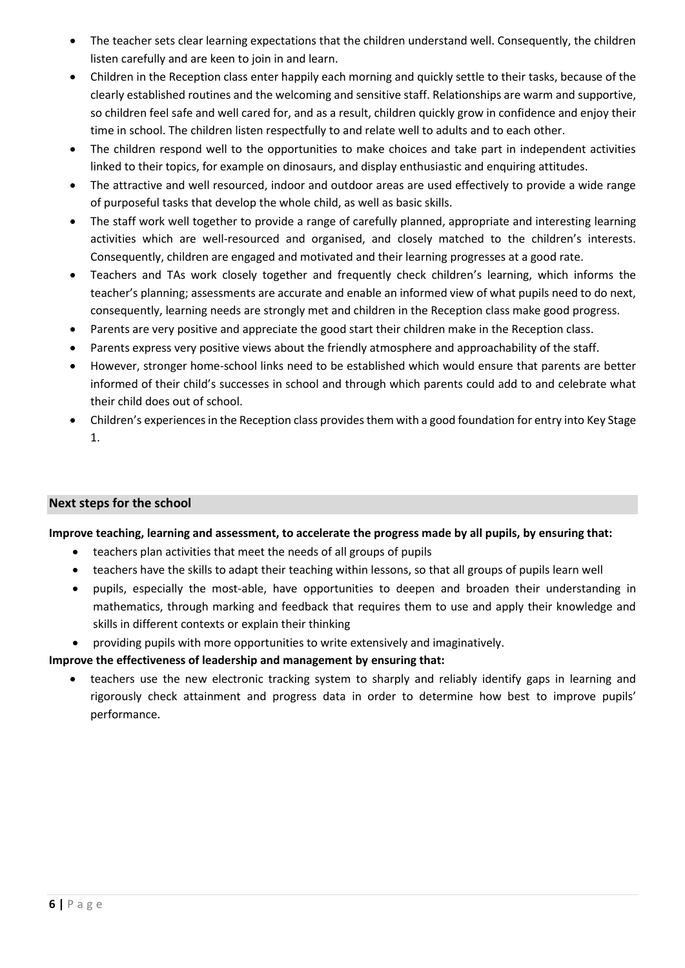- The teacher sets clear learning expectations that the children understand well. Consequently, the children listen carefully and are keen to join in and learn.
- Children in the Reception class enter happily each morning and quickly settle to their tasks, because of the clearly established routines and the welcoming and sensitive staff. Relationships are warm and supportive, so children feel safe and well cared for, and as a result, children quickly grow in confidence and enjoy their time in school. The children listen respectfully to and relate well to adults and to each other.
- The children respond well to the opportunities to make choices and take part in independent activities linked to their topics, for example on dinosaurs, and display enthusiastic and enquiring attitudes.
- The attractive and well resourced, indoor and outdoor areas are used effectively to provide a wide range of purposeful tasks that develop the whole child, as well as basic skills.
- The staff work well together to provide a range of carefully planned, appropriate and interesting learning activities which are well-resourced and organised, and closely matched to the children's interests. Consequently, children are engaged and motivated and their learning progresses at a good rate.
- Teachers and TAs work closely together and frequently check children's learning, which informs the teacher's planning; assessments are accurate and enable an informed view of what pupils need to do next, consequently, learning needs are strongly met and children in the Reception class make good progress.
- Parents are very positive and appreciate the good start their children make in the Reception class.
- Parents express very positive views about the friendly atmosphere and approachability of the staff.
- However, stronger home-school links need to be established which would ensure that parents are better informed of their child's successes in school and through which parents could add to and celebrate what their child does out of school.
- Children's experiences in the Reception class provides them with a good foundation for entry into Key Stage 1.

## **Next steps for the school**

## **Improve teaching, learning and assessment, to accelerate the progress made by all pupils, by ensuring that:**

- teachers plan activities that meet the needs of all groups of pupils
- teachers have the skills to adapt their teaching within lessons, so that all groups of pupils learn well
- pupils, especially the most-able, have opportunities to deepen and broaden their understanding in mathematics, through marking and feedback that requires them to use and apply their knowledge and skills in different contexts or explain their thinking
- providing pupils with more opportunities to write extensively and imaginatively.

## **Improve the effectiveness of leadership and management by ensuring that:**

• teachers use the new electronic tracking system to sharply and reliably identify gaps in learning and rigorously check attainment and progress data in order to determine how best to improve pupils' performance.